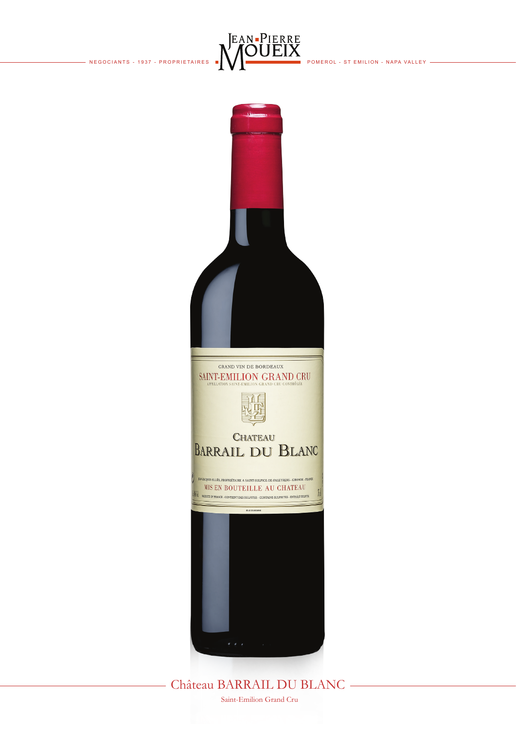



Château BARRAIL DU BLANC

 $\overline{\phantom{a}}$ 

Saint-Emilion Grand Cru